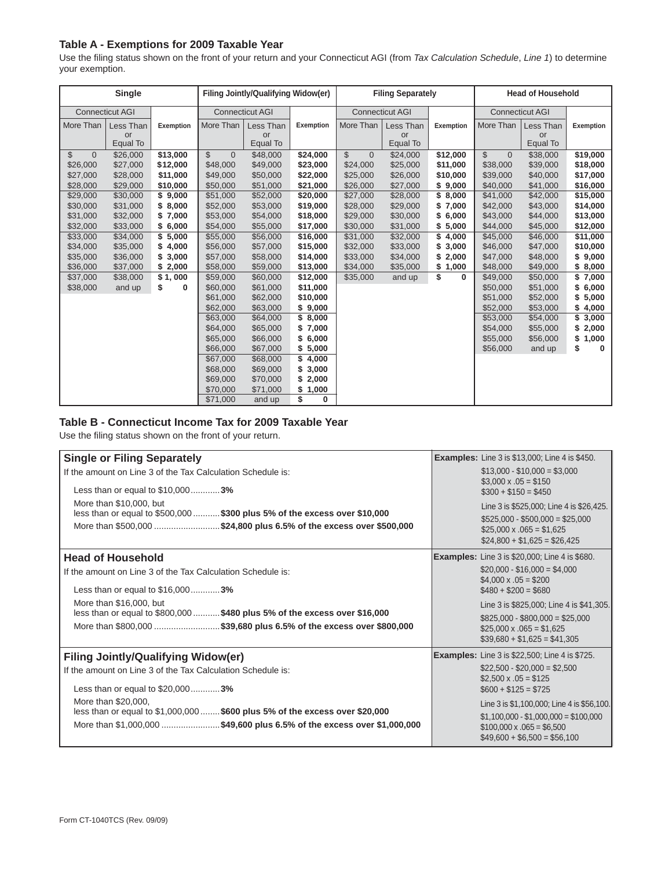## **Table A - Exemptions for 2009 Taxable Year**

Use the filing status shown on the front of your return and your Connecticut AGI (from *Tax Calculation Schedule*, *Line 1*) to determine your exemption.

| Single                 |           |           | Filing Jointly/Qualifying Widow(er) |           |           | <b>Filing Separately</b> |           |                  | <b>Head of Household</b>        |           |                  |
|------------------------|-----------|-----------|-------------------------------------|-----------|-----------|--------------------------|-----------|------------------|---------------------------------|-----------|------------------|
| <b>Connecticut AGI</b> |           |           | <b>Connecticut AGI</b>              |           |           | <b>Connecticut AGI</b>   |           |                  | <b>Connecticut AGI</b>          |           |                  |
| More Than              | Less Than | Exemption | More Than                           | Less Than | Exemption | More Than                | Less Than | <b>Exemption</b> | More Than                       | Less Than | <b>Exemption</b> |
|                        | or        |           |                                     | or        |           |                          | or        |                  |                                 | or        |                  |
|                        | Equal To  |           |                                     | Equal To  |           |                          | Equal To  |                  |                                 | Equal To  |                  |
| \$<br>$\Omega$         | \$26,000  | \$13,000  | $\mathbb{S}$<br>$\overline{0}$      | \$48,000  | \$24,000  | \$<br>$\Omega$           | \$24,000  | \$12,000         | $\mathcal{L}$<br>$\overline{0}$ | \$38,000  | \$19,000         |
| \$26,000               | \$27,000  | \$12,000  | \$48,000                            | \$49,000  | \$23,000  | \$24,000                 | \$25,000  | \$11,000         | \$38,000                        | \$39,000  | \$18,000         |
| \$27,000               | \$28,000  | \$11,000  | \$49,000                            | \$50,000  | \$22,000  | \$25,000                 | \$26,000  | \$10,000         | \$39,000                        | \$40,000  | \$17,000         |
| \$28,000               | \$29,000  | \$10,000  | \$50,000                            | \$51,000  | \$21,000  | \$26,000                 | \$27,000  | 9,000<br>\$      | \$40,000                        | \$41,000  | \$16,000         |
| \$29,000               | \$30,000  | \$9,000   | \$51,000                            | \$52,000  | \$20,000  | \$27,000                 | \$28,000  | \$<br>8,000      | \$41,000                        | \$42,000  | \$15,000         |
| \$30,000               | \$31,000  | \$8,000   | \$52,000                            | \$53,000  | \$19,000  | \$28,000                 | \$29,000  | 7,000<br>\$      | \$42,000                        | \$43,000  | \$14,000         |
| \$31,000               | \$32,000  | \$7,000   | \$53,000                            | \$54,000  | \$18,000  | \$29,000                 | \$30,000  | 6,000<br>\$      | \$43,000                        | \$44,000  | \$13,000         |
| \$32,000               | \$33,000  | \$6,000   | \$54,000                            | \$55,000  | \$17,000  | \$30,000                 | \$31,000  | \$<br>5,000      | \$44,000                        | \$45,000  | \$12,000         |
| \$33,000               | \$34,000  | \$5,000   | \$55,000                            | \$56,000  | \$16,000  | \$31,000                 | \$32,000  | \$<br>4,000      | \$45,000                        | \$46,000  | \$11,000         |
| \$34,000               | \$35,000  | \$4,000   | \$56,000                            | \$57,000  | \$15,000  | \$32,000                 | \$33,000  | 3,000<br>\$      | \$46,000                        | \$47,000  | \$10,000         |
| \$35,000               | \$36,000  | \$3,000   | \$57,000                            | \$58,000  | \$14,000  | \$33,000                 | \$34,000  | 2,000<br>\$      | \$47,000                        | \$48,000  | \$9,000          |
| \$36,000               | \$37,000  | \$2,000   | \$58,000                            | \$59,000  | \$13,000  | \$34,000                 | \$35,000  | 1,000<br>\$      | \$48,000                        | \$49,000  | \$8,000          |
| \$37,000               | \$38,000  | \$1,000   | \$59,000                            | \$60,000  | \$12,000  | \$35,000                 | and up    | \$<br>0          | \$49,000                        | \$50,000  | \$7,000          |
| \$38,000               | and up    | \$<br>0   | \$60,000                            | \$61,000  | \$11,000  |                          |           |                  | \$50,000                        | \$51,000  | \$6,000          |
|                        |           |           | \$61,000                            | \$62,000  | \$10,000  |                          |           |                  | \$51,000                        | \$52,000  | \$5,000          |
|                        |           |           | \$62,000                            | \$63,000  | \$9,000   |                          |           |                  | \$52,000                        | \$53,000  | \$4,000          |
|                        |           |           | \$63,000                            | \$64,000  | \$8,000   |                          |           |                  | \$53,000                        | \$54,000  | \$3,000          |
|                        |           |           | \$64,000                            | \$65,000  | \$7,000   |                          |           |                  | \$54,000                        | \$55,000  | \$2,000          |
|                        |           |           | \$65,000                            | \$66,000  | \$6,000   |                          |           |                  | \$55,000                        | \$56,000  | 1,000<br>\$      |
|                        |           |           | \$66,000                            | \$67,000  | \$5,000   |                          |           |                  | \$56,000                        | and up    | \$<br>0          |
|                        |           |           | \$67,000                            | \$68,000  | \$4,000   |                          |           |                  |                                 |           |                  |
|                        |           |           | \$68,000                            | \$69,000  | \$3,000   |                          |           |                  |                                 |           |                  |
|                        |           |           | \$69,000                            | \$70,000  | \$2,000   |                          |           |                  |                                 |           |                  |
|                        |           |           | \$70,000                            | \$71,000  | \$1,000   |                          |           |                  |                                 |           |                  |
|                        |           |           | \$71,000                            | and up    | \$<br>0   |                          |           |                  |                                 |           |                  |

## **Table B - Connecticut Income Tax for 2009 Taxable Year**

Use the filing status shown on the front of your return.

| <b>Single or Filing Separately</b>                                                                    | <b>Examples:</b> Line 3 is \$13,000; Line 4 is \$450.                                             |
|-------------------------------------------------------------------------------------------------------|---------------------------------------------------------------------------------------------------|
| If the amount on Line 3 of the Tax Calculation Schedule is:                                           | $$13,000 - $10,000 = $3,000$<br>$$3,000 \times .05 = $150$                                        |
| Less than or equal to \$10,0003%                                                                      | $$300 + $150 = $450$                                                                              |
| More than \$10,000, but<br>less than or equal to \$500,000  \$300 plus 5% of the excess over \$10,000 | Line 3 is \$525,000; Line 4 is \$26,425.                                                          |
| More than \$500,000 \$24,800 plus 6.5% of the excess over \$500,000                                   | $$525,000 - $500,000 = $25,000$<br>$$25,000 \times .065 = $1,625$<br>$$24,800 + $1,625 = $26,425$ |
| <b>Head of Household</b>                                                                              | <b>Examples:</b> Line 3 is \$20,000; Line 4 is \$680.                                             |
| If the amount on Line 3 of the Tax Calculation Schedule is:                                           | $$20,000 - $16,000 = $4,000$                                                                      |
| Less than or equal to \$16,0003%                                                                      | $$4,000 \times .05 = $200$<br>$$480 + $200 = $680$                                                |
| More than \$16,000, but                                                                               | Line 3 is \$825,000; Line 4 is \$41,305.                                                          |
| less than or equal to \$800,000  \$480 plus 5% of the excess over \$16,000                            | $$825,000 - $800,000 = $25,000$                                                                   |
| More than \$800,000 \$39,680 plus 6.5% of the excess over \$800,000                                   | $$25,000 \times .065 = $1,625$<br>$$39,680 + $1,625 = $41,305$                                    |
| <b>Filing Jointly/Qualifying Widow(er)</b>                                                            | <b>Examples:</b> Line 3 is \$22,500; Line 4 is \$725.                                             |
| If the amount on Line 3 of the Tax Calculation Schedule is:                                           | $$22,500 - $20,000 = $2,500$                                                                      |
| Less than or equal to \$20,0003%                                                                      | $$2,500 \times .05 = $125$<br>$$600 + $125 = $725$                                                |
| More than \$20,000,                                                                                   | Line 3 is \$1,100,000; Line 4 is \$56,100.                                                        |
| less than or equal to \$1,000,000  \$600 plus 5% of the excess over \$20,000                          | $$1,100,000 - $1,000,000 = $100,000$                                                              |
| More than \$1,000,000 \$49,600 plus 6.5% of the excess over \$1,000,000                               | $$100,000 \times .065 = $6,500$<br>$$49,600 + $6,500 = $56,100$                                   |